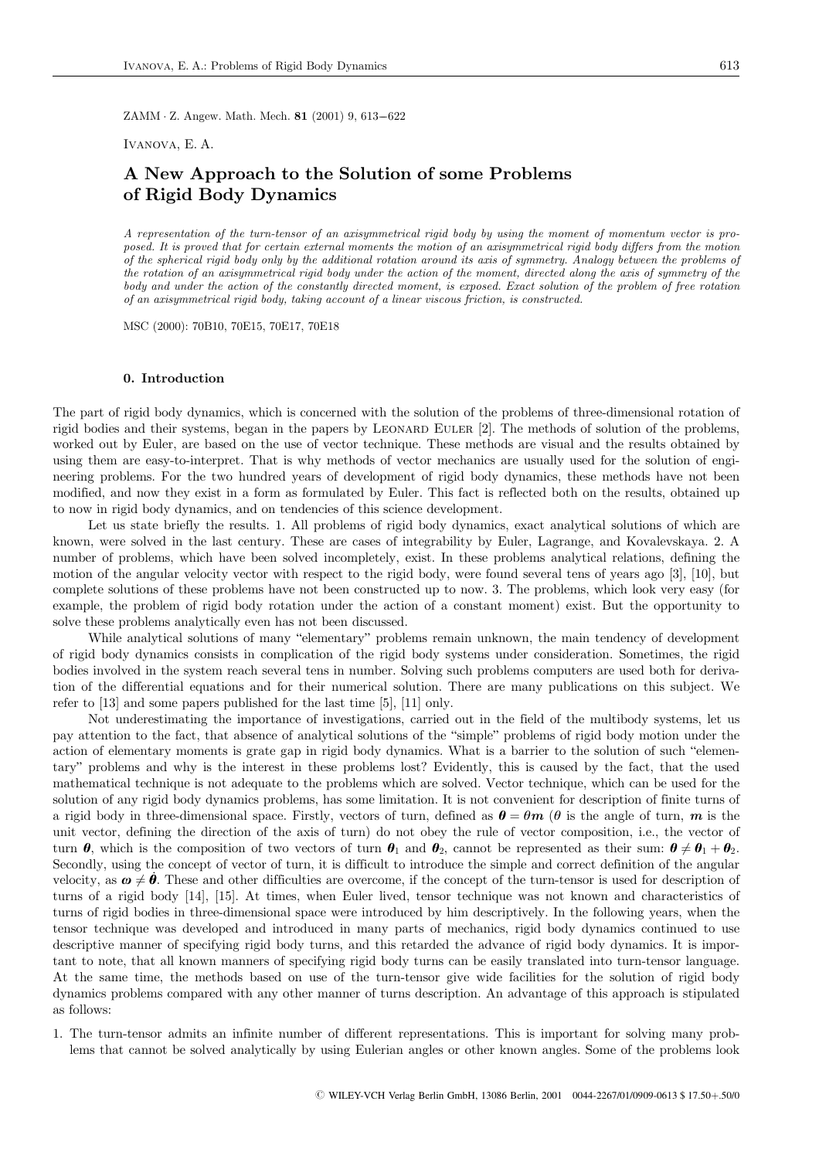ZAMM  $\cdot$  Z. Angew. Math. Mech. 81 (2001) 9, 613–622

Ivanova, E. A.

# A New Approach to the Solution of some Problems of Rigid Body Dynamics

A representation of the turn-tensor of an axisymmetrical rigid body by using the moment of momentum vector is proposed. It is proved that for certain external moments the motion of an axisymmetrical rigid body differs from the motion of the spherical rigid body only by the additional rotation around its axis of symmetry. Analogy between the problems of the rotation of an axisymmetrical rigid body under the action of the moment, directed along the axis of symmetry of the body and under the action of the constantly directed moment, is exposed. Exact solution of the problem of free rotation of an axisymmetrical rigid body, taking account of a linear viscous friction, is constructed.

MSC (2000): 70B10, 70E15, 70E17, 70E18

## 0. Introduction

The part of rigid body dynamics, which is concerned with the solution of the problems of three-dimensional rotation of rigid bodies and their systems, began in the papers by LEONARD EULER [2]. The methods of solution of the problems, worked out by Euler, are based on the use of vector technique. These methods are visual and the results obtained by using them are easy-to-interpret. That is why methods of vector mechanics are usually used for the solution of engineering problems. For the two hundred years of development of rigid body dynamics, these methods have not been modified, and now they exist in a form as formulated by Euler. This fact is reflected both on the results, obtained up to now in rigid body dynamics, and on tendencies of this science development.

Let us state briefly the results. 1. All problems of rigid body dynamics, exact analytical solutions of which are known, were solved in the last century. These are cases of integrability by Euler, Lagrange, and Kovalevskaya. 2. A number of problems, which have been solved incompletely, exist. In these problems analytical relations, defining the motion of the angular velocity vector with respect to the rigid body, were found several tens of years ago [3], [10], but complete solutions of these problems have not been constructed up to now. 3. The problems, which look very easy (for example, the problem of rigid body rotation under the action of a constant moment) exist. But the opportunity to solve these problems analytically even has not been discussed.

While analytical solutions of many "elementary" problems remain unknown, the main tendency of development of rigid body dynamics consists in complication of the rigid body systems under consideration. Sometimes, the rigid bodies involved in the system reach several tens in number. Solving such problems computers are used both for derivation of the differential equations and for their numerical solution. There are many publications on this subject. We refer to [13] and some papers published for the last time [5], [11] only.

Not underestimating the importance of investigations, carried out in the field of the multibody systems, let us pay attention to the fact, that absence of analytical solutions of the "simple" problems of rigid body motion under the action of elementary moments is grate gap in rigid body dynamics. What is a barrier to the solution of such "elementary" problems and why is the interest in these problems lost? Evidently, this is caused by the fact, that the used mathematical technique is not adequate to the problems which are solved. Vector technique, which can be used for the solution of any rigid body dynamics problems, has some limitation. It is not convenient for description of finite turns of a rigid body in three-dimensional space. Firstly, vectors of turn, defined as  $\theta = \theta m$  ( $\theta$  is the angle of turn, m is the unit vector, defining the direction of the axis of turn) do not obey the rule of vector composition, i.e., the vector of turn  $\theta$ , which is the composition of two vectors of turn  $\theta_1$  and  $\theta_2$ , cannot be represented as their sum:  $\theta \neq \theta_1 + \theta_2$ . Secondly, using the concept of vector of turn, it is difficult to introduce the simple and correct definition of the angular velocity, as  $\boldsymbol{\omega} \neq \boldsymbol{\hat{\theta}}$ . These and other difficulties are overcome, if the concept of the turn-tensor is used for description of turns of a rigid body [14], [15]. At times, when Euler lived, tensor technique was not known and characteristics of turns of rigid bodies in three-dimensional space were introduced by him descriptively. In the following years, when the tensor technique was developed and introduced in many parts of mechanics, rigid body dynamics continued to use descriptive manner of specifying rigid body turns, and this retarded the advance of rigid body dynamics. It is important to note, that all known manners of specifying rigid body turns can be easily translated into turn-tensor language. At the same time, the methods based on use of the turn-tensor give wide facilities for the solution of rigid body dynamics problems compared with any other manner of turns description. An advantage of this approach is stipulated as follows:

1. The turn-tensor admits an infinite number of different representations. This is important for solving many problems that cannot be solved analytically by using Eulerian angles or other known angles. Some of the problems look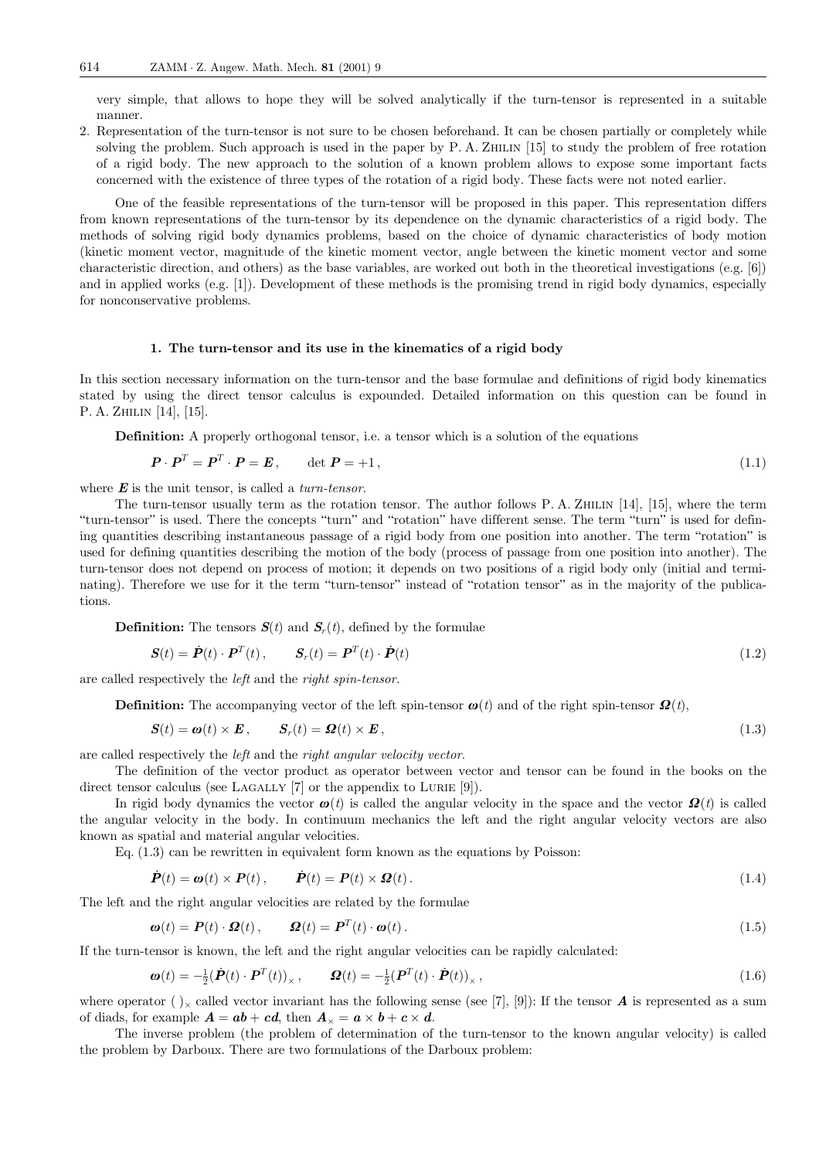very simple, that allows to hope they will be solved analytically if the turn-tensor is represented in a suitable manner.

2. Representation of the turn-tensor is not sure to be chosen beforehand. It can be chosen partially or completely while solving the problem. Such approach is used in the paper by P. A. ZHILIN [15] to study the problem of free rotation of a rigid body. The new approach to the solution of a known problem allows to expose some important facts concerned with the existence of three types of the rotation of a rigid body. These facts were not noted earlier.

One of the feasible representations of the turn-tensor will be proposed in this paper. This representation differs from known representations of the turn-tensor by its dependence on the dynamic characteristics of a rigid body. The methods of solving rigid body dynamics problems, based on the choice of dynamic characteristics of body motion (kinetic moment vector, magnitude of the kinetic moment vector, angle between the kinetic moment vector and some characteristic direction, and others) as the base variables, are worked out both in the theoretical investigations (e.g. [6]) and in applied works (e.g. [1]). Development of these methods is the promising trend in rigid body dynamics, especially for nonconservative problems.

#### 1. The turn-tensor and its use in the kinematics of a rigid body

In this section necessary information on the turn-tensor and the base formulae and definitions of rigid body kinematics stated by using the direct tensor calculus is expounded. Detailed information on this question can be found in P. A. ZHILIN [14], [15].

Definition: A properly orthogonal tensor, i.e. a tensor which is a solution of the equations

$$
\boldsymbol{P} \cdot \boldsymbol{P}^T = \boldsymbol{P}^T \cdot \boldsymbol{P} = \boldsymbol{E}, \qquad \det \boldsymbol{P} = +1, \tag{1.1}
$$

where  $\boldsymbol{E}$  is the unit tensor, is called a *turn-tensor*.

The turn-tensor usually term as the rotation tensor. The author follows P. A. Zhilin [14], [15], where the term "turn-tensor" is used. There the concepts "turn" and "rotation" have different sense. The term "turn" is used fordefining quantities describing instantaneous passage of a rigid body from one position into another. The term "rotation" is used for defining quantities describing the motion of the body (process of passage from one position into another). The turn-tensor does not depend on process of motion; it depends on two positions of a rigid body only (initial and terminating). Therefore we use for it the term "turn-tensor" instead of "rotation tensor" as in the majority of the publications.

**Definition:** The tensors  $S(t)$  and  $S<sub>r</sub>(t)$ , defined by the formulae

$$
\mathbf{S}(t) = \dot{\mathbf{P}}(t) \cdot \mathbf{P}^T(t), \qquad \mathbf{S}_r(t) = \mathbf{P}^T(t) \cdot \dot{\mathbf{P}}(t) \tag{1.2}
$$

are called respectively the left and the right spin-tensor.

**Definition:** The accompanying vector of the left spin-tensor  $\boldsymbol{\omega}(t)$  and of the right spin-tensor  $\boldsymbol{\Omega}(t)$ ,

$$
S(t) = \boldsymbol{\omega}(t) \times \boldsymbol{E}, \qquad S_r(t) = \boldsymbol{\Omega}(t) \times \boldsymbol{E}, \tag{1.3}
$$

are called respectively the left and the right angular velocity vector.

The definition of the vector product as operator between vector and tensor can be found in the books on the direct tensor calculus (see LAGALLY  $[7]$  or the appendix to LURIE  $[9]$ ).

In rigid body dynamics the vector  $\boldsymbol{\omega}(t)$  is called the angular velocity in the space and the vector  $\boldsymbol{\Omega}(t)$  is called the angular velocity in the body. In continuum mechanics the left and the right angular velocity vectors are also known as spatial and material angular velocities.

Eq. (1.3) can be rewritten in equivalent form known as the equations by Poisson:

$$
\dot{\boldsymbol{P}}(t) = \boldsymbol{\omega}(t) \times \boldsymbol{P}(t), \qquad \dot{\boldsymbol{P}}(t) = \boldsymbol{P}(t) \times \boldsymbol{\Omega}(t). \tag{1.4}
$$

The left and the right angular velocities are related by the formulae

$$
\boldsymbol{\omega}(t) = \boldsymbol{P}(t) \cdot \boldsymbol{\Omega}(t), \qquad \boldsymbol{\Omega}(t) = \boldsymbol{P}^T(t) \cdot \boldsymbol{\omega}(t). \tag{1.5}
$$

If the turn-tensor is known, the left and the right angular velocities can be rapidly calculated:

$$
\boldsymbol{\omega}(t) = -\frac{1}{2}(\dot{\boldsymbol{P}}(t) \cdot \boldsymbol{P}^T(t))_{\times}, \qquad \boldsymbol{\Omega}(t) = -\frac{1}{2}(\boldsymbol{P}^T(t) \cdot \dot{\boldsymbol{P}}(t))_{\times}, \qquad (1.6)
$$

where operator ( $)_{\times}$  called vector invariant has the following sense (see [7], [9]): If the tensor **A** is represented as a sum of diads, for example  $\mathbf{A} = \mathbf{a}\mathbf{b} + \mathbf{c}\mathbf{d}$ , then  $\mathbf{A}_{\times} = \mathbf{a} \times \mathbf{b} + \mathbf{c} \times \mathbf{d}$ .

The inverse problem (the problem of determination of the turn-tensor to the known angular velocity) is called the problem by Darboux. There are two formulations of the Darboux problem: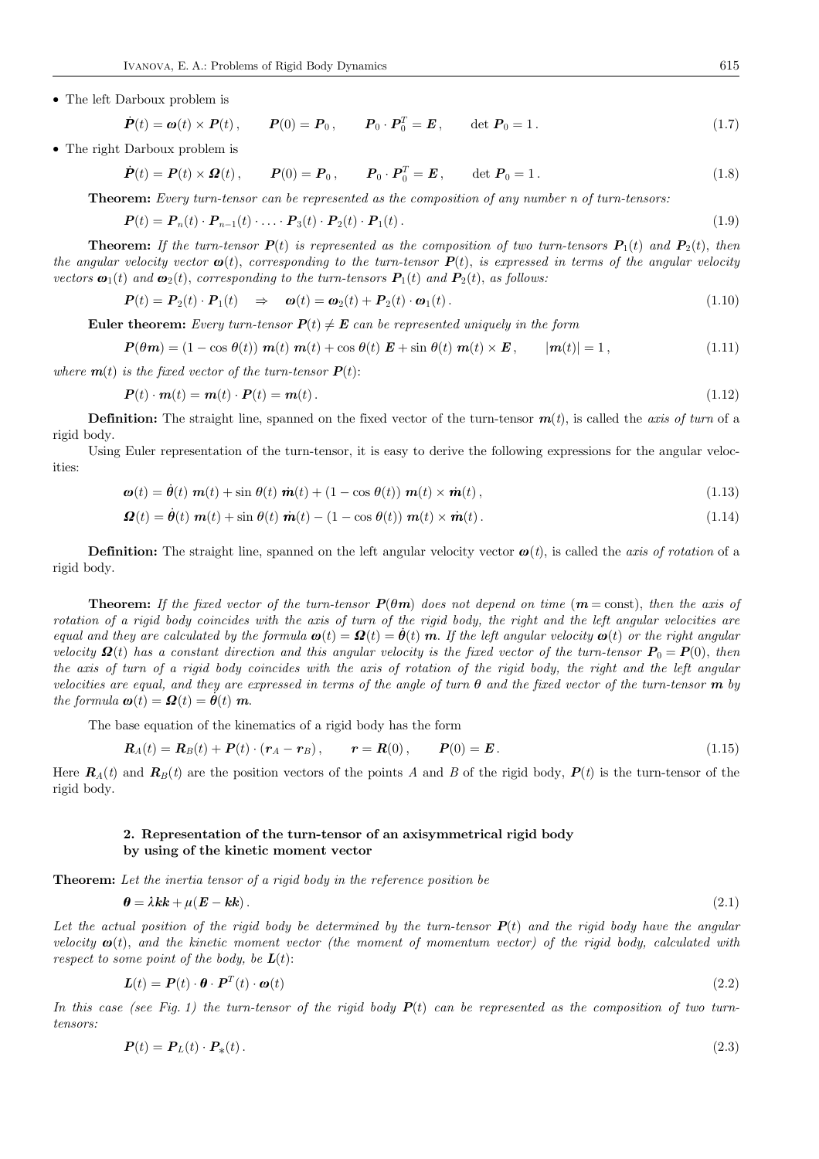• The left Darboux problem is

$$
\dot{\boldsymbol{P}}(t) = \boldsymbol{\omega}(t) \times \boldsymbol{P}(t), \qquad \boldsymbol{P}(0) = \boldsymbol{P}_0, \qquad \boldsymbol{P}_0 \cdot \boldsymbol{P}_0^T = \boldsymbol{E}, \qquad \det \boldsymbol{P}_0 = 1. \tag{1.7}
$$

• The right Darboux problem is

$$
\dot{\boldsymbol{P}}(t) = \boldsymbol{P}(t) \times \boldsymbol{\Omega}(t), \qquad \boldsymbol{P}(0) = \boldsymbol{P}_0, \qquad \boldsymbol{P}_0 \cdot \boldsymbol{P}_0^T = \boldsymbol{E}, \qquad \det \boldsymbol{P}_0 = 1. \tag{1.8}
$$

Theorem: Every turn-tensor can be represented as the composition of any number n of turn-tensors:

$$
\boldsymbol{P}(t) = \boldsymbol{P}_n(t) \cdot \boldsymbol{P}_{n-1}(t) \cdot \ldots \cdot \boldsymbol{P}_3(t) \cdot \boldsymbol{P}_2(t) \cdot \boldsymbol{P}_1(t). \tag{1.9}
$$

**Theorem:** If the turn-tensor  $P(t)$  is represented as the composition of two turn-tensors  $P_1(t)$  and  $P_2(t)$ , then the angular velocity vector  $\boldsymbol{\omega}(t)$ , corresponding to the turn-tensor  $\boldsymbol{P}(t)$ , is expressed in terms of the angular velocity vectors  $\mathbf{\omega}_1(t)$  and  $\mathbf{\omega}_2(t)$ , corresponding to the turn-tensors  $\mathbf{P}_1(t)$  and  $\mathbf{P}_2(t)$ , as follows:

$$
\boldsymbol{P}(t) = \boldsymbol{P}_2(t) \cdot \boldsymbol{P}_1(t) \quad \Rightarrow \quad \boldsymbol{\omega}(t) = \boldsymbol{\omega}_2(t) + \boldsymbol{P}_2(t) \cdot \boldsymbol{\omega}_1(t). \tag{1.10}
$$

**Euler theorem:** Every turn-tensor  $P(t) \neq E$  can be represented uniquely in the form

$$
P(\theta m) = (1 - \cos \theta(t)) m(t) m(t) + \cos \theta(t) E + \sin \theta(t) m(t) \times E, \qquad |m(t)| = 1,
$$
\n(1.11)

where  $\mathbf{m}(t)$  is the fixed vector of the turn-tensor  $\mathbf{P}(t)$ :

$$
P(t) \cdot m(t) = m(t) \cdot P(t) = m(t). \tag{1.12}
$$

**Definition:** The straight line, spanned on the fixed vector of the turn-tensor  $m(t)$ , is called the *axis of turn* of a rigid body.

Using Euler representation of the turn-tensor, it is easy to derive the following expressions for the angular velocities:

$$
\boldsymbol{\omega}(t) = \dot{\boldsymbol{\theta}}(t) \ \boldsymbol{m}(t) + \sin \theta(t) \ \dot{\boldsymbol{m}}(t) + (1 - \cos \theta(t)) \ \boldsymbol{m}(t) \times \dot{\boldsymbol{m}}(t), \tag{1.13}
$$

$$
\mathbf{\Omega}(t) = \dot{\boldsymbol{\theta}}(t) \ \mathbf{m}(t) + \sin \theta(t) \ \dot{\mathbf{m}}(t) - (1 - \cos \theta(t)) \ \mathbf{m}(t) \times \dot{\mathbf{m}}(t). \tag{1.14}
$$

**Definition:** The straight line, spanned on the left angular velocity vector  $\boldsymbol{\omega}(t)$ , is called the *axis* of rotation of a rigid body.

**Theorem:** If the fixed vector of the turn-tensor  $P(\theta m)$  does not depend on time ( $m = \text{const}$ ), then the axis of rotation of a rigid body coincides with the axis of turn of the rigid body, the right and the left angular velocities are equal and they are calculated by the formula  $\boldsymbol{\omega}(t) = \boldsymbol{\Omega}(t) = \boldsymbol{\theta}(t)$  m. If the left angular velocity  $\boldsymbol{\omega}(t)$  or the right angular velocity  $\mathbf{Q}(t)$  has a constant direction and this angular velocity is the fixed vector of the turn-tensor  $P_0 = P(0)$ , then the axis of turn of a rigid body coincides with the axis of rotation of the rigid body, the right and the left angular velocities are equal, and they are expressed in terms of the angle of turn  $\theta$  and the fixed vector of the turn-tensor **m** by the formula  $\boldsymbol{\omega}(t) = \boldsymbol{Q}(t) = \dot{\boldsymbol{\theta}}(t) \boldsymbol{m}$ .

The base equation of the kinematics of a rigid body has the form

$$
\boldsymbol{R}_A(t) = \boldsymbol{R}_B(t) + \boldsymbol{P}(t) \cdot (\boldsymbol{r}_A - \boldsymbol{r}_B), \qquad \boldsymbol{r} = \boldsymbol{R}(0), \qquad \boldsymbol{P}(0) = \boldsymbol{E}. \tag{1.15}
$$

Here  $R_A(t)$  and  $R_B(t)$  are the position vectors of the points A and B of the rigid body,  $P(t)$  is the turn-tensor of the rigid body.

# 2. Representation of the turn-tensor of an axisymmetrical rigid body by using of the kinetic moment vector

Theorem: Let the inertia tensor of a rigid body in the reference position be

$$
\boldsymbol{\theta} = \lambda \boldsymbol{k} + \mu (\boldsymbol{E} - \boldsymbol{k} \boldsymbol{k}) \,. \tag{2.1}
$$

Let the actual position of the rigid body be determined by the turn-tensor  $P(t)$  and the rigid body have the angular velocity  $\omega(t)$ , and the kinetic moment vector (the moment of momentum vector) of the rigid body, calculated with respect to some point of the body, be  $L(t)$ :

$$
L(t) = P(t) \cdot \boldsymbol{\theta} \cdot P^T(t) \cdot \boldsymbol{\omega}(t) \tag{2.2}
$$

In this case (see Fig. 1) the turn-tensor of the rigid body  $P(t)$  can be represented as the composition of two turntensors:

$$
\boldsymbol{P}(t) = \boldsymbol{P}_L(t) \cdot \boldsymbol{P}_*(t) \,. \tag{2.3}
$$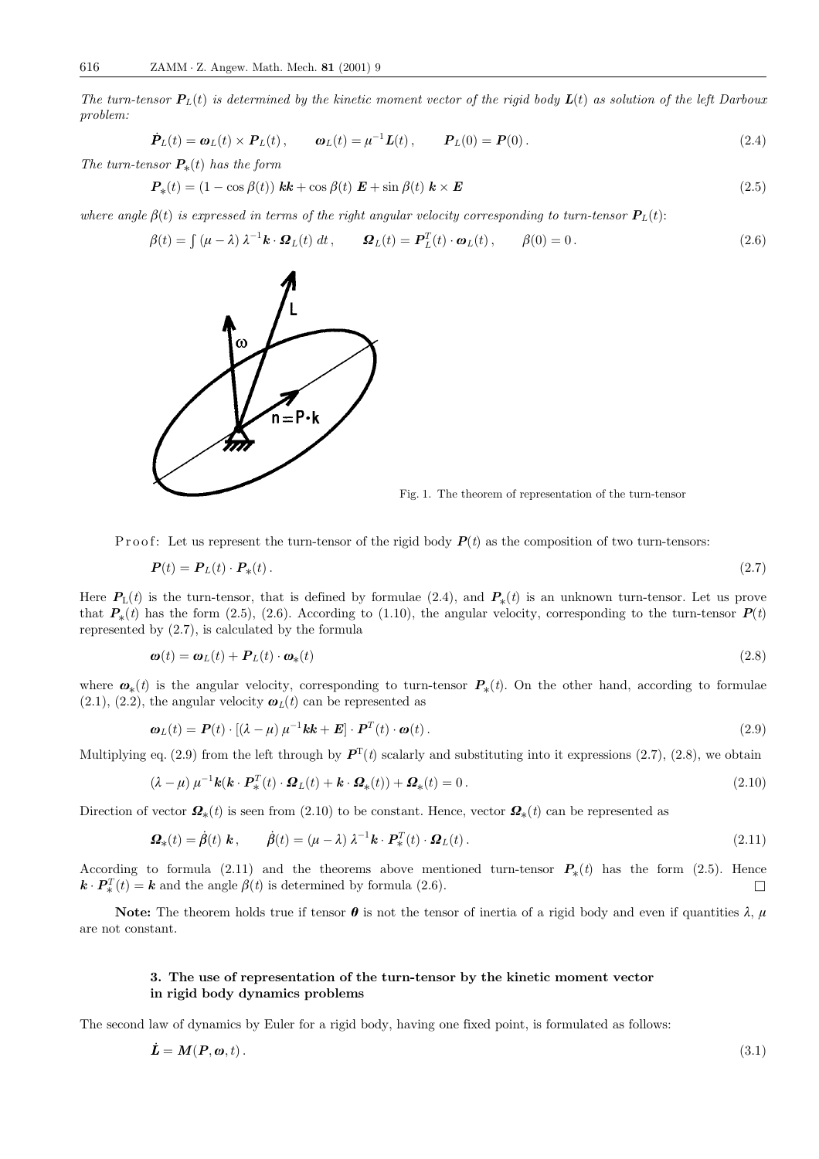The turn-tensor  $P_L(t)$  is determined by the kinetic moment vector of the rigid body  $L(t)$  as solution of the left Darboux problem:

$$
\dot{\boldsymbol{P}}_L(t) = \boldsymbol{\omega}_L(t) \times \boldsymbol{P}_L(t), \qquad \boldsymbol{\omega}_L(t) = \mu^{-1} \boldsymbol{L}(t), \qquad \boldsymbol{P}_L(0) = \boldsymbol{P}(0). \tag{2.4}
$$

The turn-tensor  $P_*(t)$  has the form

$$
\boldsymbol{P}_{*}(t) = (1 - \cos\beta(t)) \boldsymbol{k} \boldsymbol{k} + \cos\beta(t) \boldsymbol{E} + \sin\beta(t) \boldsymbol{k} \times \boldsymbol{E}
$$
\n(2.5)

where angle  $\beta(t)$  is expressed in terms of the right angular velocity corresponding to turn-tensor  $P_L(t)$ :

$$
\beta(t) = \int (\mu - \lambda) \lambda^{-1} \mathbf{k} \cdot \mathbf{\Omega}_L(t) dt, \qquad \mathbf{\Omega}_L(t) = \mathbf{P}_L^T(t) \cdot \mathbf{\omega}_L(t), \qquad \beta(0) = 0.
$$
 (2.6)



Fig. 1. The theorem of representation of the turn-tensor

P r o o f: Let us represent the turn-tensor of the rigid body  $P(t)$  as the composition of two turn-tensors:

$$
\boldsymbol{P}(t) = \boldsymbol{P}_L(t) \cdot \boldsymbol{P}_*(t) \,. \tag{2.7}
$$

Here  $P_{\rm L}(t)$  is the turn-tensor, that is defined by formulae (2.4), and  $P_{*}(t)$  is an unknown turn-tensor. Let us prove that  $P_*(t)$  has the form (2.5), (2.6). According to (1.10), the angular velocity, corresponding to the turn-tensor  $P(t)$ represented by (2.7), is calculated by the formula

$$
\boldsymbol{\omega}(t) = \boldsymbol{\omega}_L(t) + \boldsymbol{P}_L(t) \cdot \boldsymbol{\omega}_*(t) \tag{2.8}
$$

where  $\mathbf{\omega}_*(t)$  is the angular velocity, corresponding to turn-tensor  $\mathbf{P}_*(t)$ . On the other hand, according to formulae  $(2.1)$ ,  $(2.2)$ , the angular velocity  $\boldsymbol{\omega}_L(t)$  can be represented as

$$
\boldsymbol{\omega}_L(t) = \boldsymbol{P}(t) \cdot [(\lambda - \mu) \mu^{-1} \boldsymbol{k} \boldsymbol{k} + \boldsymbol{E}] \cdot \boldsymbol{P}^T(t) \cdot \boldsymbol{\omega}(t). \tag{2.9}
$$

Multiplying eq. (2.9) from the left through by  $\mathbf{P}^{T}(t)$  scalarly and substituting into it expressions (2.7), (2.8), we obtain

$$
(\lambda - \mu) \mu^{-1} \mathbf{k} (\mathbf{k} \cdot \mathbf{P}_*^T(t) \cdot \mathbf{\Omega}_L(t) + \mathbf{k} \cdot \mathbf{\Omega}_*(t)) + \mathbf{\Omega}_*(t) = 0.
$$
 (2.10)

Direction of vector  $\mathbf{\Omega}_{*}(t)$  is seen from (2.10) to be constant. Hence, vector  $\mathbf{\Omega}_{*}(t)$  can be represented as

$$
\mathbf{\Omega}_{*}(t) = \dot{\beta}(t) \mathbf{k}, \qquad \dot{\beta}(t) = (\mu - \lambda) \lambda^{-1} \mathbf{k} \cdot \mathbf{P}_{*}^{T}(t) \cdot \mathbf{\Omega}_{L}(t).
$$
\n(2.11)

According to formula (2.11) and the theorems above mentioned turn-tensor  $P_*(t)$  has the form (2.5). Hence  $\mathbf{k} \cdot \mathbf{P}_{*}^{T}(t) = \mathbf{k}$  and the angle  $\beta(t)$  is determined by formula (2.6).  $\Box$ 

Note: The theorem holds true if tensor  $\theta$  is not the tensor of inertia of a rigid body and even if quantities  $\lambda$ ,  $\mu$ are not constant.

# 3. The use of representation of the turn-tensor by the kinetic moment vector in rigid body dynamics problems

The second law of dynamics by Euler for a rigid body, having one fixed point, is formulated as follows:

$$
\dot{\mathbf{L}} = \mathbf{M}(\mathbf{P}, \mathbf{\omega}, t). \tag{3.1}
$$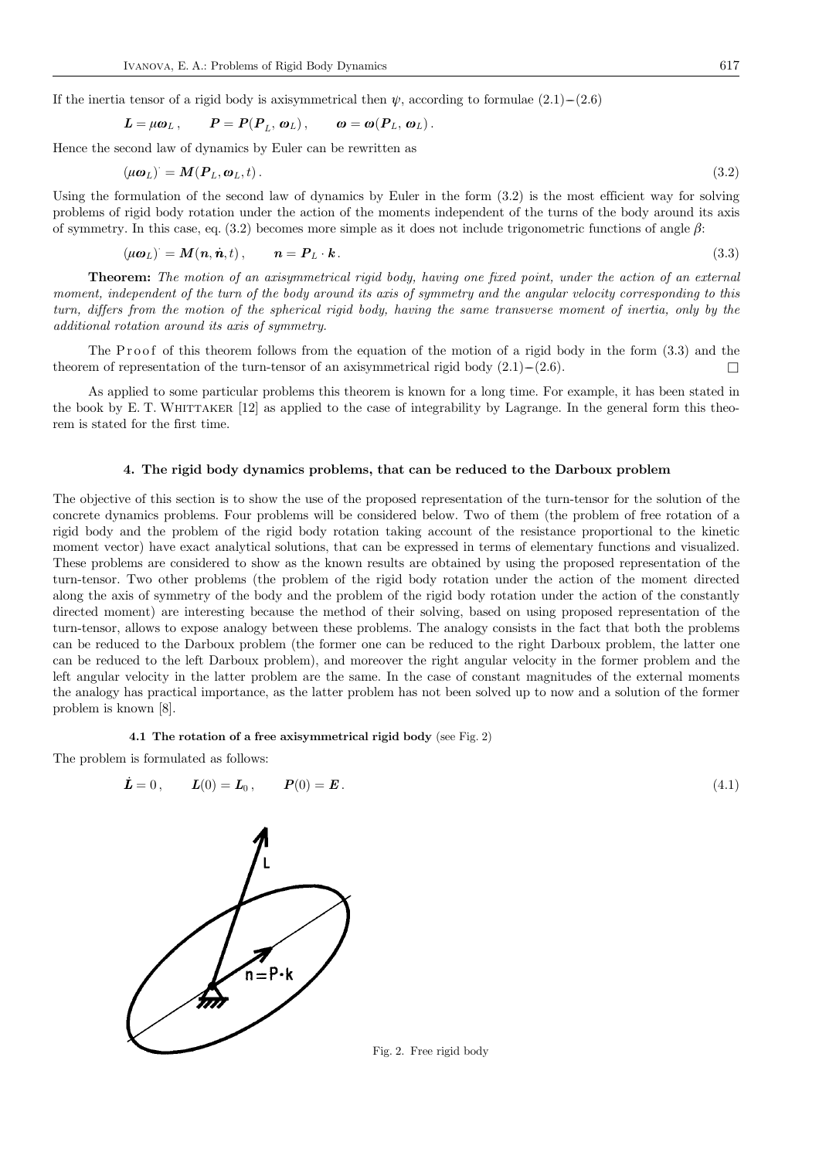If the inertia tensor of a rigid body is axisymmetrical then  $\psi$ , according to formulae (2.1)–(2.6)

$$
L = \mu \omega_L, \qquad P = P(P_L, \omega_L), \qquad \omega = \omega(P_L, \omega_L).
$$

Hence the second law of dynamics by Euler can be rewritten as

$$
(\mu \boldsymbol{\omega}_L) = \boldsymbol{M}(\boldsymbol{P}_L, \boldsymbol{\omega}_L, t). \tag{3.2}
$$

Using the formulation of the second law of dynamics by Euler in the form (3.2) is the most efficient way for solving problems of rigid body rotation under the action of the moments independent of the turns of the body around its axis of symmetry. In this case, eq. (3.2) becomes more simple as it does not include trigonometric functions of angle  $\beta$ :

$$
(\mu \omega_L) = M(n, \dot{n}, t), \qquad n = P_L \cdot k. \tag{3.3}
$$

Theorem: The motion of an axisymmetrical rigid body, having one fixed point, under the action of an external moment, independent of the turn of the body around its axis of symmetry and the angular velocity corresponding to this turn, differs from the motion of the spherical rigid body, having the same transverse moment of inertia, only by the additional rotation around its axis of symmetry.

The P roof of this theorem follows from the equation of the motion of a rigid body in the form (3.3) and the theorem of representation of the turn-tensor of an axisymmetrical rigid body  $(2.1)$ – $(2.6)$ .  $\Box$ 

As applied to some particular problems this theorem is known for a long time. For example, it has been stated in the book by E. T. WHITTAKER  $[12]$  as applied to the case of integrability by Lagrange. In the general form this theorem is stated for the first time.

#### 4. The rigid body dynamics problems, that can be reduced to the Darboux problem

The objective of this section is to show the use of the proposed representation of the turn-tensor for the solution of the concrete dynamics problems. Four problems will be considered below. Two of them (the problem of free rotation of a rigid body and the problem of the rigid body rotation taking account of the resistance proportional to the kinetic moment vector) have exact analytical solutions, that can be expressed in terms of elementary functions and visualized. These problems are considered to show as the known results are obtained by using the proposed representation of the turn-tensor. Two other problems (the problem of the rigid body rotation under the action of the moment directed along the axis of symmetry of the body and the problem of the rigid body rotation under the action of the constantly directed moment) are interesting because the method of their solving, based on using proposed representation of the turn-tensor, allows to expose analogy between these problems. The analogy consists in the fact that both the problems can be reduced to the Darboux problem (the former one can be reduced to the right Darboux problem, the latter one can be reduced to the left Darboux problem), and moreover the right angular velocity in the former problem and the left angular velocity in the latter problem are the same. In the case of constant magnitudes of the external moments the analogy has practical importance, as the latter problem has not been solved up to now and a solution of the former problem is known [8].

4.1 The rotation of a free axisymmetrical rigid body (see Fig. 2)

The problem is formulated as follows:

$$
\dot{\mathbf{L}} = 0, \qquad \mathbf{L}(0) = \mathbf{L}_0, \qquad \mathbf{P}(0) = \mathbf{E}. \tag{4.1}
$$



Fig. 2. Free rigid body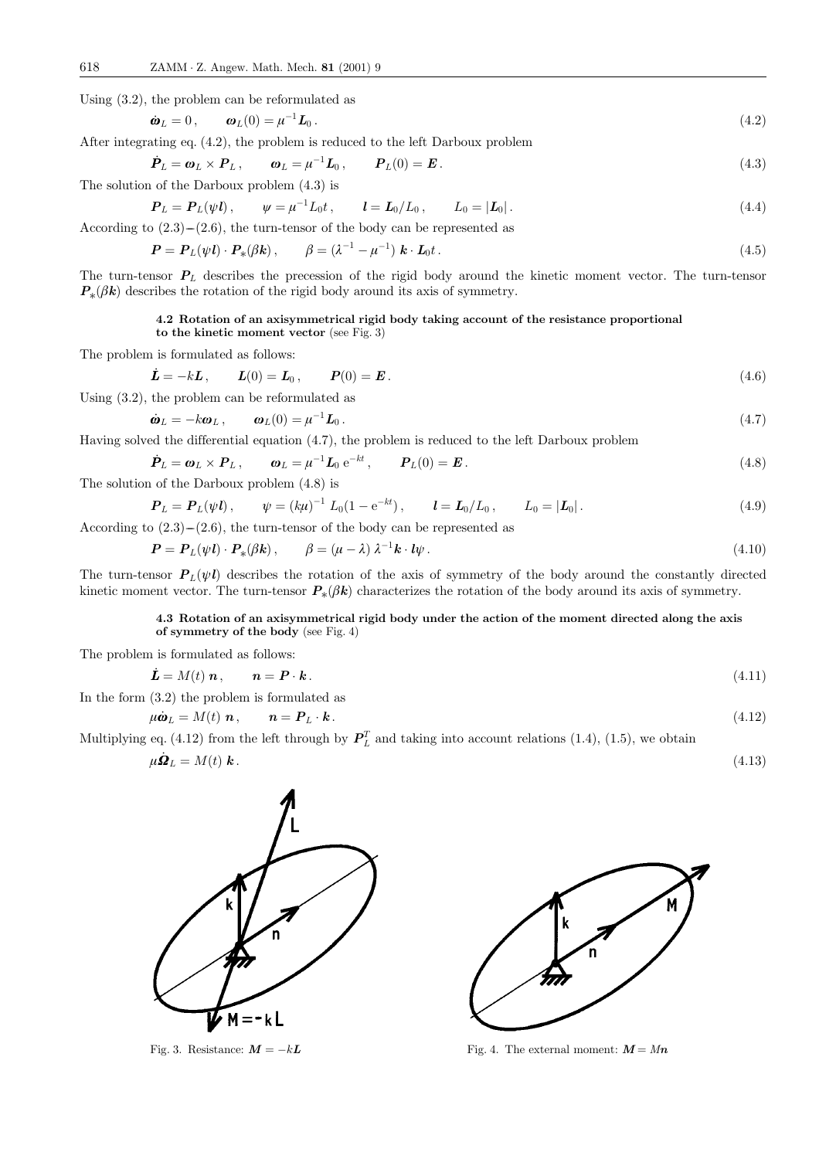Using (3.2), the problem can be reformulated as

$$
\dot{\boldsymbol{\omega}}_L = 0, \qquad \boldsymbol{\omega}_L(0) = \mu^{-1} \boldsymbol{L}_0. \tag{4.2}
$$

After integrating eq. (4.2), the problem is reduced to the left Darboux problem

$$
\dot{\boldsymbol{P}}_L = \boldsymbol{\omega}_L \times \boldsymbol{P}_L, \qquad \boldsymbol{\omega}_L = \mu^{-1} \boldsymbol{L}_0, \qquad \boldsymbol{P}_L(0) = \boldsymbol{E}. \tag{4.3}
$$

The solution of the Darboux problem (4.3) is

$$
\boldsymbol{P}_L = \boldsymbol{P}_L(\psi \boldsymbol{l}), \qquad \psi = \mu^{-1} L_0 t, \qquad \boldsymbol{l} = \boldsymbol{L}_0 / L_0, \qquad L_0 = |\boldsymbol{L}_0| \,. \tag{4.4}
$$

According to  $(2.3)$ – $(2.6)$ , the turn-tensor of the body can be represented as

$$
\boldsymbol{P} = \boldsymbol{P}_L(\psi \boldsymbol{l}) \cdot \boldsymbol{P}_*(\beta \boldsymbol{k}), \qquad \beta = (\lambda^{-1} - \mu^{-1}) \boldsymbol{k} \cdot \boldsymbol{L}_0 t \,. \tag{4.5}
$$

The turn-tensor  $P_L$  describes the precession of the rigid body around the kinetic moment vector. The turn-tensor  $P_*(\beta k)$  describes the rotation of the rigid body around its axis of symmetry.

# 4.2 Rotation of an axisymmetrical rigid body taking account of the resistance proportional

```
to the kinetic moment vector (see Fig. 3)
```
The problem is formulated as follows:

$$
\dot{\mathbf{L}} = -k\mathbf{L}, \qquad \mathbf{L}(0) = \mathbf{L}_0, \qquad \mathbf{P}(0) = \mathbf{E}. \tag{4.6}
$$

Using (3.2), the problem can be reformulated as

$$
\dot{\boldsymbol{\omega}}_L = -k \boldsymbol{\omega}_L \,, \qquad \boldsymbol{\omega}_L(0) = \mu^{-1} \boldsymbol{L}_0 \,. \tag{4.7}
$$

Having solved the differential equation (4.7), the problem is reduced to the left Darboux problem

$$
\dot{\boldsymbol{P}}_L = \boldsymbol{\omega}_L \times \boldsymbol{P}_L, \qquad \boldsymbol{\omega}_L = \mu^{-1} \boldsymbol{L}_0 \,\mathrm{e}^{-kt}, \qquad \boldsymbol{P}_L(0) = \boldsymbol{E}. \tag{4.8}
$$

The solution of the Darboux problem (4.8) is

$$
\mathbf{P}_L = \mathbf{P}_L(\psi \mathbf{l}), \qquad \psi = (k\mu)^{-1} L_0(1 - e^{-kt}), \qquad \mathbf{l} = \mathbf{L}_0/L_0, \qquad L_0 = |\mathbf{L}_0|.
$$
\n
$$
\text{According to (2.3)-(2.6), the turn-tensor of the body can be represented as}
$$
\n
$$
\tag{4.9}
$$

$$
\boldsymbol{P} = \boldsymbol{P}_L(\psi \boldsymbol{l}) \cdot \boldsymbol{P}_*(\beta \boldsymbol{k}), \qquad \beta = (\mu - \lambda) \lambda^{-1} \boldsymbol{k} \cdot \boldsymbol{l} \psi. \tag{4.10}
$$

The turn-tensor  $P_L(\psi l)$  describes the rotation of the axis of symmetry of the body around the constantly directed kinetic moment vector. The turn-tensor  $P_*(\beta k)$  characterizes the rotation of the body around its axis of symmetry.

# 4.3 Rotation of an axisymmetrical rigid body under the action of the moment directed along the axis of symmetry of the body (see Fig. 4)

The problem is formulated as follows:

$$
\dot{\mathbf{L}} = M(t) \, \mathbf{n} \,, \qquad \mathbf{n} = \mathbf{P} \cdot \mathbf{k} \,. \tag{4.11}
$$

In the form (3.2) the problem is formulated as

$$
\mu \dot{\boldsymbol{\omega}}_L = M(t) \, \boldsymbol{n} \,, \qquad \boldsymbol{n} = \boldsymbol{P}_L \cdot \boldsymbol{k} \,. \tag{4.12}
$$

Multiplying eq. (4.12) from the left through by  $\mathbf{P}_L^T$  and taking into account relations (1.4), (1.5), we obtain

$$
\mu \dot{\Omega}_L = M(t) \mathbf{k} \,. \tag{4.13}
$$





Fig. 3. Resistance:  $M = -kL$  Fig. 4. The external moment:  $M = Mn$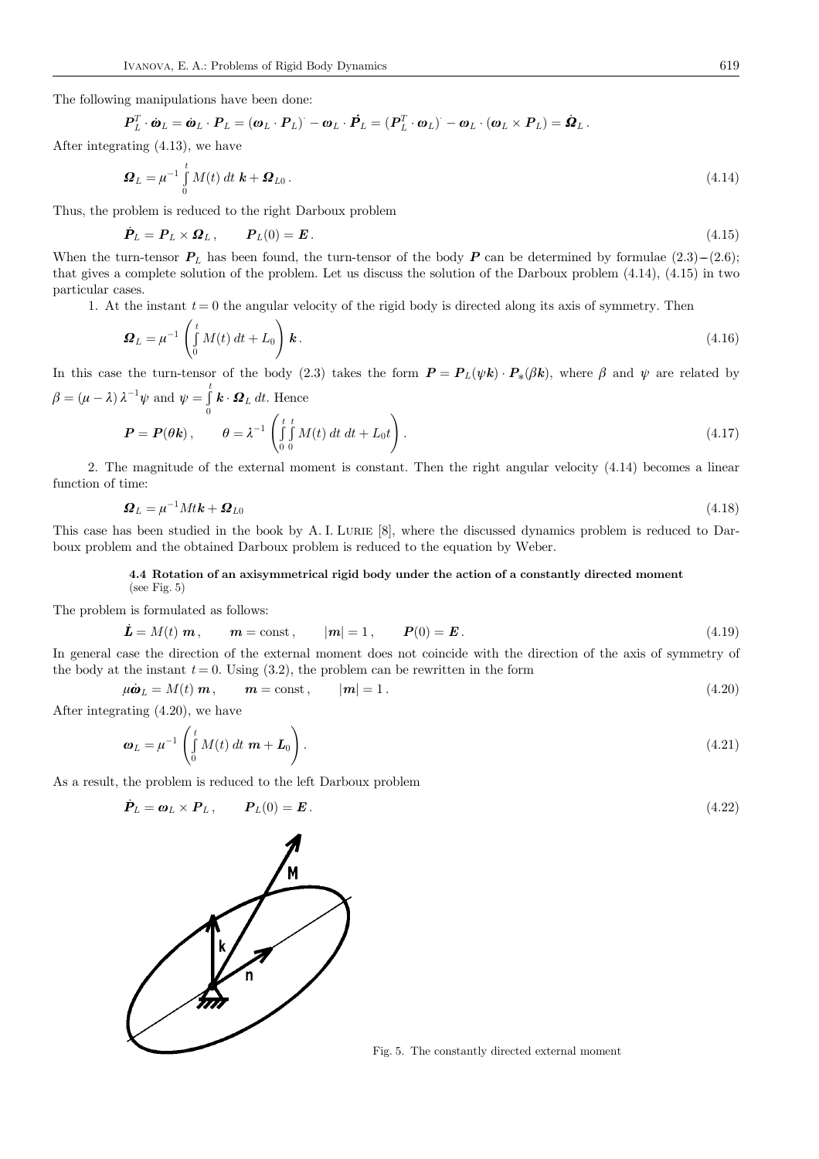The following manipulations have been done:

$$
\boldsymbol{P}_L^T \cdot \dot{\boldsymbol{\omega}}_L = \dot{\boldsymbol{\omega}}_L \cdot \boldsymbol{P}_L = (\boldsymbol{\omega}_L \cdot \boldsymbol{P}_L)^{\cdot} - \boldsymbol{\omega}_L \cdot \dot{\boldsymbol{P}}_L = (\boldsymbol{P}_L^T \cdot \boldsymbol{\omega}_L)^{\cdot} - \boldsymbol{\omega}_L \cdot (\boldsymbol{\omega}_L \times \boldsymbol{P}_L) = \dot{\boldsymbol{\Omega}}_L.
$$

After integrating  $(4.13)$ , we have

$$
\boldsymbol{\Omega}_L = \mu^{-1} \int\limits_0^t M(t) \, dt \, \boldsymbol{k} + \boldsymbol{\Omega}_{L0} \,. \tag{4.14}
$$

Thus, the problem is reduced to the right Darboux problem

$$
\dot{\boldsymbol{P}}_L = \boldsymbol{P}_L \times \boldsymbol{\Omega}_L, \qquad \boldsymbol{P}_L(0) = \boldsymbol{E}. \tag{4.15}
$$

When the turn-tensor  $P_L$  has been found, the turn-tensor of the body P can be determined by formulae  $(2.3)$ – $(2.6)$ ; that gives a complete solution of the problem. Let us discuss the solution of the Darboux problem (4.14), (4.15) in two particular cases.

1. At the instant  $t = 0$  the angular velocity of the rigid body is directed along its axis of symmetry. Then

$$
\Omega_L = \mu^{-1} \left( \int_0^t M(t) dt + L_0 \right) \mathbf{k}.
$$
\n(4.16)

In this case the turn-tensor of the body (2.3) takes the form  $P = P_L(\psi k) \cdot P_*(\beta k)$ , where  $\beta$  and  $\psi$  are related by  $\beta = (\mu - \lambda) \lambda^{-1} \psi \text{ and } \psi = \int_{0}^{\tau}$  $\int\limits_{0}^{\mathbf{t}} \mathbf{k} \cdot \mathbf{\Omega}_{L} dt$ . Hence

$$
\boldsymbol{P} = \boldsymbol{P}(\boldsymbol{\theta}\mathbf{k}), \qquad \theta = \lambda^{-1} \left( \int_{0}^{t} \int_{0}^{t} M(t) dt dt + L_0 t \right). \tag{4.17}
$$

2. The magnitude of the external moment is constant. Then the right angular velocity (4.14) becomes a linear function of time:

$$
\Omega_L = \mu^{-1} M t k + \Omega_{L0} \tag{4.18}
$$

This case has been studied in the book by A. I. LURIE [8], where the discussed dynamics problem is reduced to Darboux problem and the obtained Darboux problem is reduced to the equation by Weber.

#### 4.4 Rotation of an axisymmetrical rigid body under the action of a constantly directed moment (see Fig. 5)

The problem is formulated as follows:

$$
\dot{\mathbf{L}} = M(t) \mathbf{m}, \qquad \mathbf{m} = \text{const}, \qquad |\mathbf{m}| = 1, \qquad \mathbf{P}(0) = \mathbf{E}.
$$
\n(4.19)

In general case the direction of the external moment does not coincide with the direction of the axis of symmetry of the body at the instant  $t = 0$ . Using (3.2), the problem can be rewritten in the form

$$
\mu \dot{\boldsymbol{\omega}}_L = M(t) \ \boldsymbol{m}, \qquad \boldsymbol{m} = \text{const}, \qquad |\boldsymbol{m}| = 1. \tag{4.20}
$$

After integrating  $(4.20)$ , we have

$$
\boldsymbol{\omega}_L = \mu^{-1} \left( \int_0^t M(t) dt \ \boldsymbol{m} + \boldsymbol{L}_0 \right). \tag{4.21}
$$

As a result, the problem is reduced to the left Darboux problem

$$
\dot{\boldsymbol{P}}_L = \boldsymbol{\omega}_L \times \boldsymbol{P}_L, \qquad \boldsymbol{P}_L(0) = \boldsymbol{E}. \tag{4.22}
$$



Fig. 5. The constantly directed external moment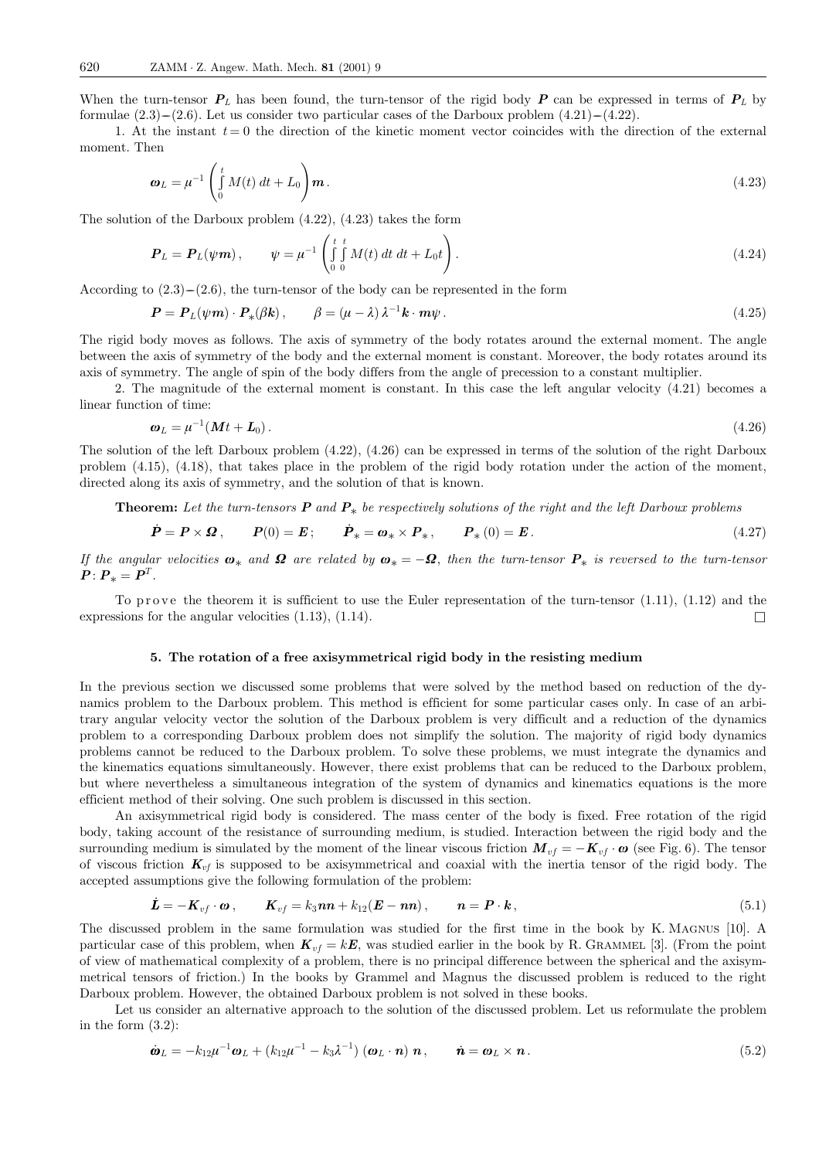When the turn-tensor  $P_L$  has been found, the turn-tensor of the rigid body P can be expressed in terms of  $P_L$  by formulae  $(2.3)$ – $(2.6)$ . Let us consider two particular cases of the Darboux problem  $(4.21)$ – $(4.22)$ .

1. At the instant  $t = 0$  the direction of the kinetic moment vector coincides with the direction of the external moment. Then

$$
\boldsymbol{\omega}_L = \mu^{-1} \left( \int_0^t M(t) dt + L_0 \right) \boldsymbol{m} \,. \tag{4.23}
$$

The solution of the Darboux problem (4.22), (4.23) takes the form

$$
\boldsymbol{P}_L = \boldsymbol{P}_L(\psi \boldsymbol{m}), \qquad \psi = \mu^{-1} \left( \int_0^t \int_0^t M(t) \, dt \, dt + L_0 t \right). \tag{4.24}
$$

According to  $(2.3)$ – $(2.6)$ , the turn-tensor of the body can be represented in the form

$$
\boldsymbol{P} = \boldsymbol{P}_L(\psi \boldsymbol{m}) \cdot \boldsymbol{P}_*(\beta \mathbf{k}), \qquad \beta = (\mu - \lambda) \lambda^{-1} \mathbf{k} \cdot \boldsymbol{m} \psi. \tag{4.25}
$$

The rigid body moves as follows. The axis of symmetry of the body rotates around the external moment. The angle between the axis of symmetry of the body and the external moment is constant. Moreover, the body rotates around its axis of symmetry. The angle of spin of the body differs from the angle of precession to a constant multiplier.

2. The magnitude of the external moment is constant. In this case the left angular velocity (4.21) becomes a linear function of time:

$$
\boldsymbol{\omega}_L = \mu^{-1}(\boldsymbol{M}t + \boldsymbol{L}_0). \tag{4.26}
$$

The solution of the left Darboux problem (4.22), (4.26) can be expressed in terms of the solution of the right Darboux problem (4.15), (4.18), that takes place in the problem of the rigid body rotation under the action of the moment, directed along its axis of symmetry, and the solution of that is known.

**Theorem:** Let the turn-tensors  $P$  and  $P_*$  be respectively solutions of the right and the left Darboux problems

$$
\dot{\boldsymbol{P}} = \boldsymbol{P} \times \boldsymbol{\Omega} , \qquad \boldsymbol{P}(0) = \boldsymbol{E} ; \qquad \dot{\boldsymbol{P}}_* = \boldsymbol{\omega}_* \times \boldsymbol{P}_* , \qquad \boldsymbol{P}_*(0) = \boldsymbol{E} . \tag{4.27}
$$

If the angular velocities  $\boldsymbol{\omega}_*$  and  $\boldsymbol{\Omega}$  are related by  $\boldsymbol{\omega}_* = -\boldsymbol{\Omega}$ , then the turn-tensor  $\boldsymbol{P}_*$  is reversed to the turn-tensor  $P: P_* = P^T.$ 

To prove the theorem it is sufficient to use the Euler representation of the turn-tensor  $(1.11)$ ,  $(1.12)$  and the expressions for the angular velocities (1.13), (1.14).  $\Box$ 

### 5. The rotation of a free axisymmetrical rigid body in the resisting medium

In the previous section we discussed some problems that were solved by the method based on reduction of the dynamics problem to the Darboux problem. This method is efficient for some particular cases only. In case of an arbitrary angular velocity vector the solution of the Darboux problem is very difficult and a reduction of the dynamics problem to a corresponding Darboux problem does not simplify the solution. The majority of rigid body dynamics problems cannot be reduced to the Darboux problem. To solve these problems, we must integrate the dynamics and the kinematics equations simultaneously. However, there exist problems that can be reduced to the Darboux problem, but where nevertheless a simultaneous integration of the system of dynamics and kinematics equations is the more efficient method of their solving. One such problem is discussed in this section.

An axisymmetrical rigid body is considered. The mass center of the body is fixed. Free rotation of the rigid body, taking account of the resistance of surrounding medium, is studied. Interaction between the rigid body and the surrounding medium is simulated by the moment of the linear viscous friction  $\mathbf{M}_{vf} = -\mathbf{K}_{vf} \cdot \mathbf{\omega}$  (see Fig. 6). The tensor of viscous friction  $K_{vf}$  is supposed to be axisymmetrical and coaxial with the inertia tensor of the rigid body. The accepted assumptions give the following formulation of the problem:

$$
\dot{\boldsymbol{L}} = -\boldsymbol{K}_{vf} \cdot \boldsymbol{\omega} \,, \qquad \boldsymbol{K}_{vf} = k_3 \boldsymbol{n} \boldsymbol{n} + k_{12} (\boldsymbol{E} - \boldsymbol{n} \boldsymbol{n}) \,, \qquad \boldsymbol{n} = \boldsymbol{P} \cdot \boldsymbol{k} \,, \tag{5.1}
$$

The discussed problem in the same formulation was studied for the first time in the book by K. Magnus [10]. A particular case of this problem, when  $K_{vf} = kE$ , was studied earlier in the book by R. GRAMMEL [3]. (From the point of view of mathematical complexity of a problem, there is no principal difference between the spherical and the axisymmetrical tensors of friction.) In the books by Grammel and Magnus the discussed problem is reduced to the right Darboux problem. However, the obtained Darboux problem is not solved in these books.

Let us consider an alternative approach to the solution of the discussed problem. Let us reformulate the problem in the form (3.2):

$$
\dot{\boldsymbol{\omega}}_L = -k_{12}\mu^{-1}\boldsymbol{\omega}_L + (k_{12}\mu^{-1} - k_3\lambda^{-1})\left(\boldsymbol{\omega}_L \cdot \boldsymbol{n}\right) \boldsymbol{n}, \qquad \dot{\boldsymbol{n}} = \boldsymbol{\omega}_L \times \boldsymbol{n}. \tag{5.2}
$$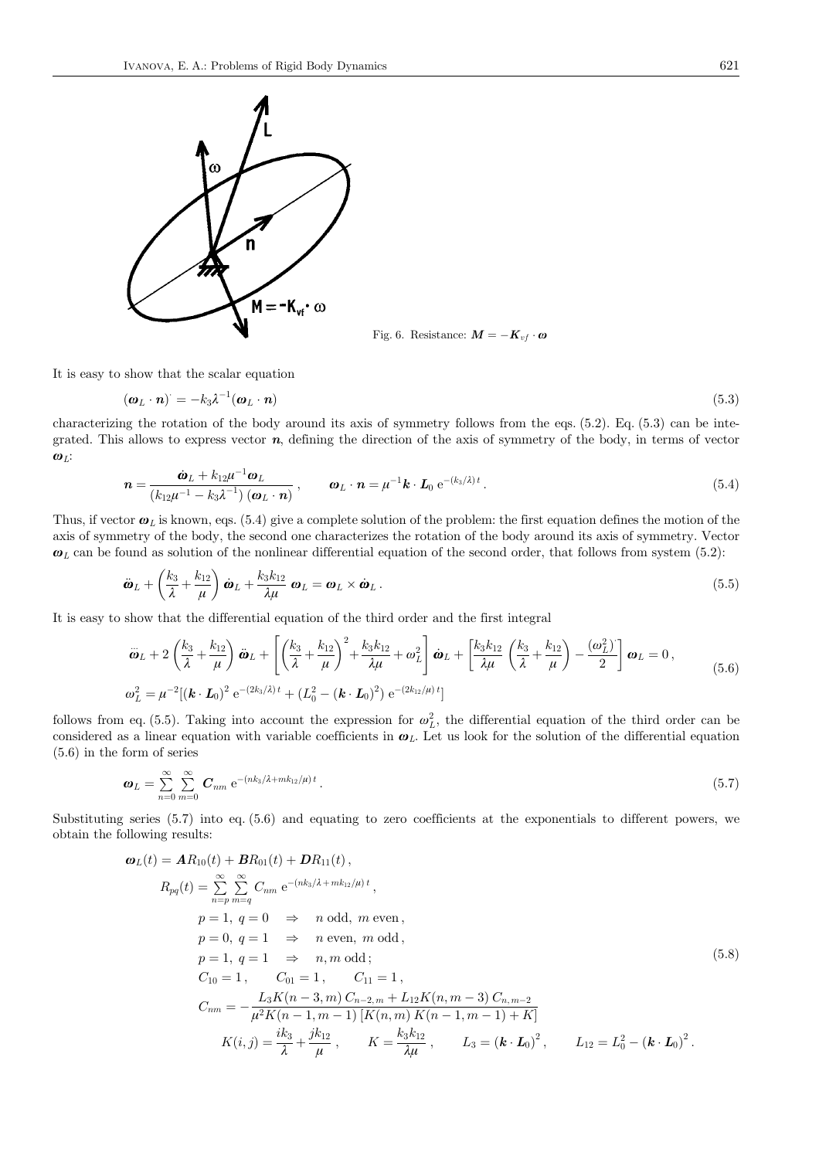

Fig. 6. Resistance:  $\mathbf{M} = -\mathbf{K}_{vf} \cdot \mathbf{\omega}$ 

It is easy to show that the scalar equation

$$
(\boldsymbol{\omega}_L \cdot \boldsymbol{n}) = -k_3 \lambda^{-1} (\boldsymbol{\omega}_L \cdot \boldsymbol{n}) \tag{5.3}
$$

characterizing the rotation of the body around its axis of symmetry follows from the eqs. (5.2). Eq. (5.3) can be integrated. This allows to express vector  $n$ , defining the direction of the axis of symmetry of the body, in terms of vector  $\boldsymbol{\omega}_L$ :

$$
\boldsymbol{n} = \frac{\dot{\boldsymbol{\omega}}_L + k_{12}\mu^{-1}\boldsymbol{\omega}_L}{\left(k_{12}\mu^{-1} - k_3\lambda^{-1}\right)\left(\boldsymbol{\omega}_L \cdot \boldsymbol{n}\right)}, \qquad \boldsymbol{\omega}_L \cdot \boldsymbol{n} = \mu^{-1}\boldsymbol{k} \cdot \boldsymbol{L}_0 \,\mathrm{e}^{-(k_3/\lambda)\,t} \,. \tag{5.4}
$$

Thus, if vector  $\boldsymbol{\omega}_L$  is known, eqs. (5.4) give a complete solution of the problem: the first equation defines the motion of the axis of symmetry of the body, the second one characterizes the rotation of the body around its axis of symmetry. Vector  $\boldsymbol{\omega}_L$  can be found as solution of the nonlinear differential equation of the second order, that follows from system (5.2):

$$
\ddot{\boldsymbol{\omega}}_L + \left(\frac{k_3}{\lambda} + \frac{k_{12}}{\mu}\right) \dot{\boldsymbol{\omega}}_L + \frac{k_3 k_{12}}{\lambda \mu} \boldsymbol{\omega}_L = \boldsymbol{\omega}_L \times \dot{\boldsymbol{\omega}}_L. \tag{5.5}
$$

It is easy to show that the differential equation of the third order and the first integral

$$
\ddot{\omega}_{L} + 2\left(\frac{k_{3}}{\lambda} + \frac{k_{12}}{\mu}\right)\ddot{\omega}_{L} + \left[\left(\frac{k_{3}}{\lambda} + \frac{k_{12}}{\mu}\right)^{2} + \frac{k_{3}k_{12}}{\lambda\mu} + \omega_{L}^{2}\right]\dot{\omega}_{L} + \left[\frac{k_{3}k_{12}}{\lambda\mu}\left(\frac{k_{3}}{\lambda} + \frac{k_{12}}{\mu}\right) - \frac{(\omega_{L}^{2})}{2}\right]\omega_{L} = 0,
$$
\n
$$
\omega_{L}^{2} = \mu^{-2}[(\mathbf{k} \cdot \mathbf{L}_{0})^{2} e^{-(2k_{3}/\lambda)t} + (L_{0}^{2} - (\mathbf{k} \cdot \mathbf{L}_{0})^{2}) e^{-(2k_{12}/\mu)t}]
$$
\n(5.6)

follows from eq. (5.5). Taking into account the expression for  $\omega_L^2$ , the differential equation of the third order can be considered as a linear equation with variable coefficients in  $\omega_L$ . Let us look for the solution of the differential equation (5.6) in the form of series

$$
\boldsymbol{\omega}_L = \sum_{n=0}^{\infty} \sum_{m=0}^{\infty} \boldsymbol{C}_{nm} \; \mathrm{e}^{-(nk_3/\lambda + mk_{12}/\mu)t} \,. \tag{5.7}
$$

Substituting series (5.7) into eq. (5.6) and equating to zero coefficients at the exponentials to different powers, we obtain the following results:

$$
\omega_{L}(t) = AR_{10}(t) + BR_{01}(t) + DR_{11}(t),
$$
\n
$$
R_{pq}(t) = \sum_{n=p}^{\infty} \sum_{m=q}^{\infty} C_{nm} e^{-(nk_{3}/\lambda + mk_{12}/\mu)t},
$$
\n
$$
p = 1, q = 0 \Rightarrow n \text{ odd}, m \text{ even},
$$
\n
$$
p = 0, q = 1 \Rightarrow n \text{ even}, m \text{ odd},
$$
\n
$$
p = 1, q = 1 \Rightarrow n, m \text{ odd},
$$
\n
$$
C_{10} = 1, C_{01} = 1, C_{11} = 1,
$$
\n
$$
C_{nm} = -\frac{L_{3}K(n-3,m) C_{n-2,m} + L_{12}K(n,m-3) C_{n,m-2}}{\mu^{2}K(n-1,m-1)[K(n,m) K(n-1,m-1) + K]}
$$
\n
$$
K(i,j) = \frac{ik_{3}}{\lambda} + \frac{jk_{12}}{\mu}, K = \frac{k_{3}k_{12}}{\lambda\mu}, L_{3} = (k \cdot L_{0})^{2}, L_{12} = L_{0}^{2} - (k \cdot L_{0})^{2}.
$$
\n(5.8)